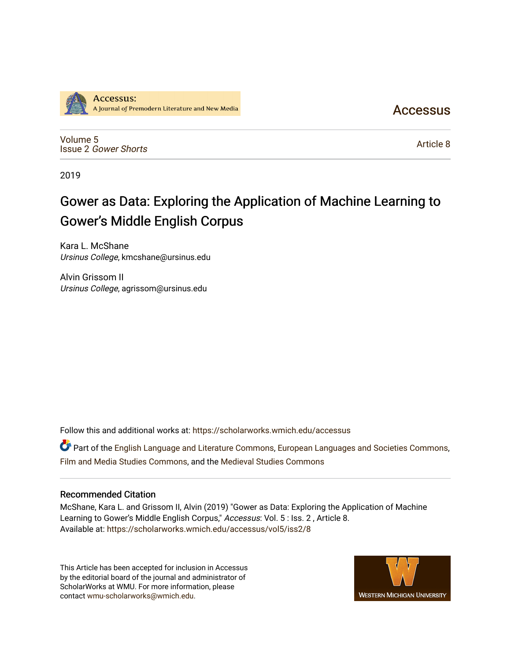

**Accessus** 

[Volume 5](https://scholarworks.wmich.edu/accessus/vol5) Issue 2 [Gower Shorts](https://scholarworks.wmich.edu/accessus/vol5/iss2)

[Article 8](https://scholarworks.wmich.edu/accessus/vol5/iss2/8) 

2019

## Gower as Data: Exploring the Application of Machine Learning to Gower's Middle English Corpus

Kara L. McShane Ursinus College, kmcshane@ursinus.edu

Alvin Grissom II Ursinus College, agrissom@ursinus.edu

Follow this and additional works at: [https://scholarworks.wmich.edu/accessus](https://scholarworks.wmich.edu/accessus?utm_source=scholarworks.wmich.edu%2Faccessus%2Fvol5%2Fiss2%2F8&utm_medium=PDF&utm_campaign=PDFCoverPages)

**C** Part of the [English Language and Literature Commons](http://network.bepress.com/hgg/discipline/455?utm_source=scholarworks.wmich.edu%2Faccessus%2Fvol5%2Fiss2%2F8&utm_medium=PDF&utm_campaign=PDFCoverPages), [European Languages and Societies Commons](http://network.bepress.com/hgg/discipline/482?utm_source=scholarworks.wmich.edu%2Faccessus%2Fvol5%2Fiss2%2F8&utm_medium=PDF&utm_campaign=PDFCoverPages), [Film and Media Studies Commons,](http://network.bepress.com/hgg/discipline/563?utm_source=scholarworks.wmich.edu%2Faccessus%2Fvol5%2Fiss2%2F8&utm_medium=PDF&utm_campaign=PDFCoverPages) and the [Medieval Studies Commons](http://network.bepress.com/hgg/discipline/480?utm_source=scholarworks.wmich.edu%2Faccessus%2Fvol5%2Fiss2%2F8&utm_medium=PDF&utm_campaign=PDFCoverPages) 

### Recommended Citation

McShane, Kara L. and Grissom II, Alvin (2019) "Gower as Data: Exploring the Application of Machine Learning to Gower's Middle English Corpus," Accessus: Vol. 5 : Iss. 2 , Article 8. Available at: [https://scholarworks.wmich.edu/accessus/vol5/iss2/8](https://scholarworks.wmich.edu/accessus/vol5/iss2/8?utm_source=scholarworks.wmich.edu%2Faccessus%2Fvol5%2Fiss2%2F8&utm_medium=PDF&utm_campaign=PDFCoverPages) 

This Article has been accepted for inclusion in Accessus by the editorial board of the journal and administrator of ScholarWorks at WMU. For more information, please contact [wmu-scholarworks@wmich.edu](mailto:wmu-scholarworks@wmich.edu).

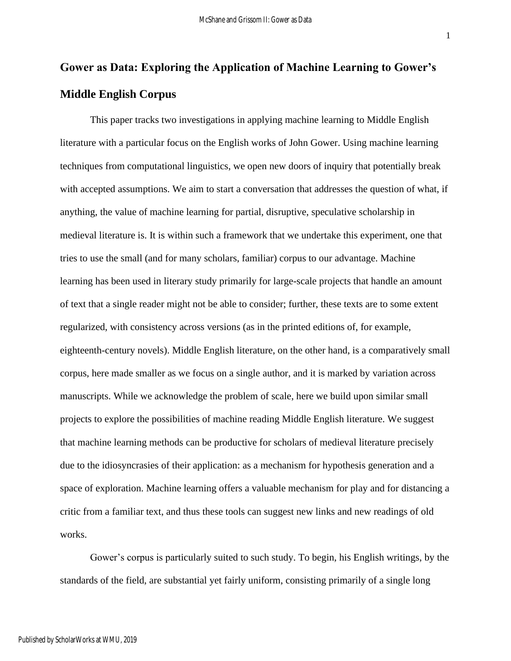1

# **Gower as Data: Exploring the Application of Machine Learning to Gower's Middle English Corpus**

This paper tracks two investigations in applying machine learning to Middle English literature with a particular focus on the English works of John Gower. Using machine learning techniques from computational linguistics, we open new doors of inquiry that potentially break with accepted assumptions. We aim to start a conversation that addresses the question of what, if anything, the value of machine learning for partial, disruptive, speculative scholarship in medieval literature is. It is within such a framework that we undertake this experiment, one that tries to use the small (and for many scholars, familiar) corpus to our advantage. Machine learning has been used in literary study primarily for large-scale projects that handle an amount of text that a single reader might not be able to consider; further, these texts are to some extent regularized, with consistency across versions (as in the printed editions of, for example, eighteenth-century novels). Middle English literature, on the other hand, is a comparatively small corpus, here made smaller as we focus on a single author, and it is marked by variation across manuscripts. While we acknowledge the problem of scale, here we build upon similar small projects to explore the possibilities of machine reading Middle English literature. We suggest that machine learning methods can be productive for scholars of medieval literature precisely due to the idiosyncrasies of their application: as a mechanism for hypothesis generation and a space of exploration. Machine learning offers a valuable mechanism for play and for distancing a critic from a familiar text, and thus these tools can suggest new links and new readings of old works.

Gower's corpus is particularly suited to such study. To begin, his English writings, by the standards of the field, are substantial yet fairly uniform, consisting primarily of a single long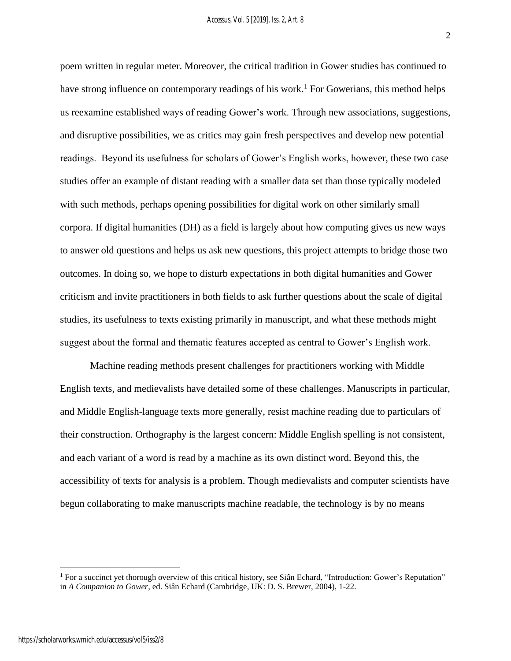2

poem written in regular meter. Moreover, the critical tradition in Gower studies has continued to have strong influence on contemporary readings of his work.<sup>1</sup> For Gowerians, this method helps us reexamine established ways of reading Gower's work. Through new associations, suggestions, and disruptive possibilities, we as critics may gain fresh perspectives and develop new potential readings. Beyond its usefulness for scholars of Gower's English works, however, these two case studies offer an example of distant reading with a smaller data set than those typically modeled with such methods, perhaps opening possibilities for digital work on other similarly small corpora. If digital humanities (DH) as a field is largely about how computing gives us new ways to answer old questions and helps us ask new questions, this project attempts to bridge those two outcomes. In doing so, we hope to disturb expectations in both digital humanities and Gower criticism and invite practitioners in both fields to ask further questions about the scale of digital studies, its usefulness to texts existing primarily in manuscript, and what these methods might suggest about the formal and thematic features accepted as central to Gower's English work.

Machine reading methods present challenges for practitioners working with Middle English texts, and medievalists have detailed some of these challenges. Manuscripts in particular, and Middle English-language texts more generally, resist machine reading due to particulars of their construction. Orthography is the largest concern: Middle English spelling is not consistent, and each variant of a word is read by a machine as its own distinct word. Beyond this, the accessibility of texts for analysis is a problem. Though medievalists and computer scientists have begun collaborating to make manuscripts machine readable, the technology is by no means

<sup>1</sup> For a succinct yet thorough overview of this critical history, see Siân Echard, "Introduction: Gower's Reputation" in *A Companion to Gower*, ed. Siân Echard (Cambridge, UK: D. S. Brewer, 2004), 1-22.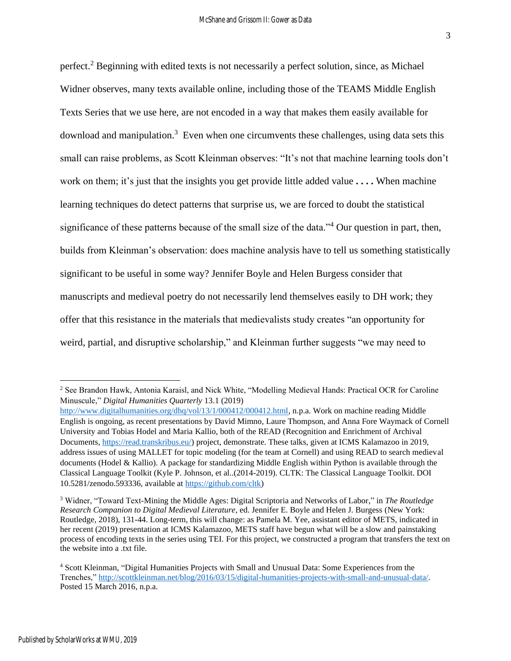perfect.<sup>2</sup> Beginning with edited texts is not necessarily a perfect solution, since, as Michael Widner observes, many texts available online, including those of the TEAMS Middle English Texts Series that we use here, are not encoded in a way that makes them easily available for download and manipulation.<sup>3</sup> Even when one circumvents these challenges, using data sets this small can raise problems, as Scott Kleinman observes: "It's not that machine learning tools don't work on them; it's just that the insights you get provide little added value **. . . .** When machine learning techniques do detect patterns that surprise us, we are forced to doubt the statistical significance of these patterns because of the small size of the data."<sup>4</sup> Our question in part, then, builds from Kleinman's observation: does machine analysis have to tell us something statistically significant to be useful in some way? Jennifer Boyle and Helen Burgess consider that manuscripts and medieval poetry do not necessarily lend themselves easily to DH work; they offer that this resistance in the materials that medievalists study creates "an opportunity for weird, partial, and disruptive scholarship," and Kleinman further suggests "we may need to

<sup>&</sup>lt;sup>2</sup> See Brandon Hawk, Antonia Karaisl, and Nick White, "Modelling Medieval Hands: Practical OCR for Caroline Minuscule," *Digital Humanities Quarterly* 13.1 (2019)

[http://www.digitalhumanities.org/dhq/vol/13/1/000412/000412.html,](http://www.digitalhumanities.org/dhq/vol/13/1/000412/000412.html) n.p.a. Work on machine reading Middle English is ongoing, as recent presentations by David Mimno, Laure Thompson, and Anna Fore Waymack of Cornell University and Tobias Hodel and Maria Kallio, both of the READ (Recognition and Enrichment of Archival Documents[, https://read.transkribus.eu/\)](https://read.transkribus.eu/) project, demonstrate. These talks, given at ICMS Kalamazoo in 2019, address issues of using MALLET for topic modeling (for the team at Cornell) and using READ to search medieval documents (Hodel & Kallio). A package for standardizing Middle English within Python is available through the Classical Language Toolkit (Kyle P. Johnson, et al..(2014-2019). CLTK: The Classical Language Toolkit. DOI 10.5281/zenodo.593336, available at [https://github.com/cltk\)](https://github.com/cltk)

<sup>3</sup> Widner, "Toward Text-Mining the Middle Ages: Digital Scriptoria and Networks of Labor," in *The Routledge Research Companion to Digital Medieval Literature*, ed. Jennifer E. Boyle and Helen J. Burgess (New York: Routledge, 2018), 131-44. Long-term, this will change: as Pamela M. Yee, assistant editor of METS, indicated in her recent (2019) presentation at ICMS Kalamazoo, METS staff have begun what will be a slow and painstaking process of encoding texts in the series using TEI. For this project, we constructed a program that transfers the text on the website into a .txt file.

<sup>4</sup> Scott Kleinman, "Digital Humanities Projects with Small and Unusual Data: Some Experiences from the Trenches," [http://scottkleinman.net/blog/2016/03/15/digital-humanities-projects-with-small-and-unusual-data/.](http://scottkleinman.net/blog/2016/03/15/digital-humanities-projects-with-small-and-unusual-data/)  Posted 15 March 2016, n.p.a.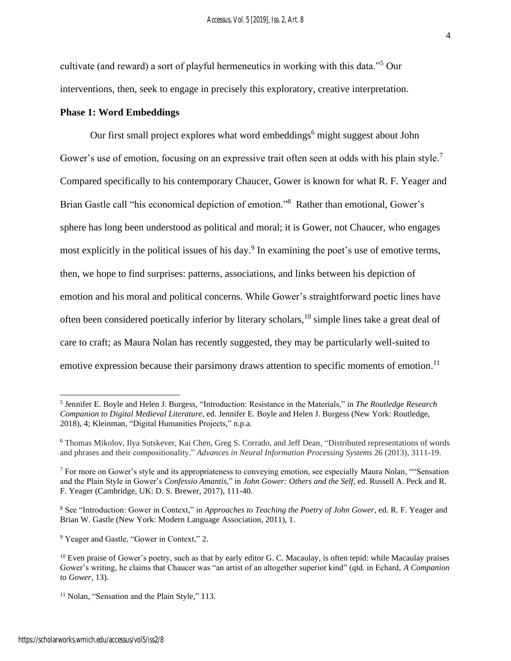cultivate (and reward) a sort of playful hermeneutics in working with this data."<sup>5</sup> Our interventions, then, seek to engage in precisely this exploratory, creative interpretation.

#### **Phase 1: Word Embeddings**

Our first small project explores what word embeddings<sup>6</sup> might suggest about John Gower's use of emotion, focusing on an expressive trait often seen at odds with his plain style.<sup>7</sup> Compared specifically to his contemporary Chaucer, Gower is known for what R. F. Yeager and Brian Gastle call "his economical depiction of emotion." <sup>8</sup> Rather than emotional, Gower's sphere has long been understood as political and moral; it is Gower, not Chaucer, who engages most explicitly in the political issues of his day.<sup>9</sup> In examining the poet's use of emotive terms, then, we hope to find surprises: patterns, associations, and links between his depiction of emotion and his moral and political concerns. While Gower's straightforward poetic lines have often been considered poetically inferior by literary scholars, <sup>10</sup> simple lines take a great deal of care to craft; as Maura Nolan has recently suggested, they may be particularly well-suited to emotive expression because their parsimony draws attention to specific moments of emotion.<sup>11</sup>

<sup>8</sup> See "Introduction: Gower in Context," in *Approaches to Teaching the Poetry of John Gower*, ed. R. F. Yeager and Brian W. Gastle (New York: Modern Language Association, 2011), 1.

<sup>9</sup> Yeager and Gastle, "Gower in Context," 2.

<sup>5</sup> Jennifer E. Boyle and Helen J. Burgess, "Introduction: Resistance in the Materials," in *The Routledge Research Companion to Digital Medieval Literature*, ed. Jennifer E. Boyle and Helen J. Burgess (New York: Routledge, 2018), 4; Kleinman, "Digital Humanities Projects," n.p.a.

<sup>6</sup> Thomas Mikolov, Ilya Sutskever, Kai Chen, Greg S. Corrado, and Jeff Dean, "Distributed representations of words and phrases and their compositionality." *Advances in Neural Information Processing Systems* 26 (2013), 3111-19.

<sup>7</sup> For more on Gower's style and its appropriateness to conveying emotion, see especially Maura Nolan, ""Sensation and the Plain Style in Gower's *Confessio Amantis*," in *John Gower: Others and the Self*, ed. Russell A. Peck and R. F. Yeager (Cambridge, UK: D. S. Brewer, 2017), 111-40.

<sup>&</sup>lt;sup>10</sup> Even praise of Gower's poetry, such as that by early editor G. C. Macaulay, is often tepid: while Macaulay praises Gower's writing, he claims that Chaucer was "an artist of an altogether superior kind" (qtd. in Echard, *A Companion to Gower*, 13).

<sup>&</sup>lt;sup>11</sup> Nolan, "Sensation and the Plain Style," 113.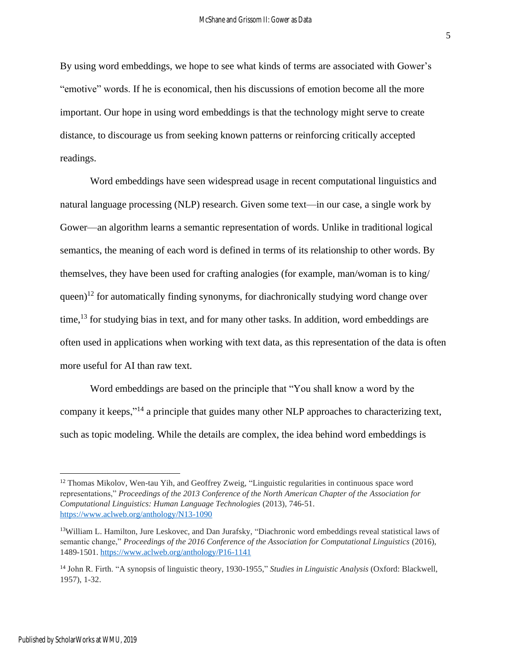By using word embeddings, we hope to see what kinds of terms are associated with Gower's "emotive" words. If he is economical, then his discussions of emotion become all the more important. Our hope in using word embeddings is that the technology might serve to create distance, to discourage us from seeking known patterns or reinforcing critically accepted readings.

Word embeddings have seen widespread usage in recent computational linguistics and natural language processing (NLP) research. Given some text—in our case, a single work by Gower—an algorithm learns a semantic representation of words. Unlike in traditional logical semantics, the meaning of each word is defined in terms of its relationship to other words. By themselves, they have been used for crafting analogies (for example, man/woman is to king/ queen)<sup>12</sup> for automatically finding synonyms, for diachronically studying word change over time,<sup>13</sup> for studying bias in text, and for many other tasks. In addition, word embeddings are often used in applications when working with text data, as this representation of the data is often more useful for AI than raw text.

Word embeddings are based on the principle that "You shall know a word by the company it keeps,"<sup>14</sup> a principle that guides many other NLP approaches to characterizing text, such as topic modeling. While the details are complex, the idea behind word embeddings is

5

<sup>&</sup>lt;sup>12</sup> Thomas Mikolov, Wen-tau Yih, and Geoffrey Zweig, "Linguistic regularities in continuous space word representations," *Proceedings of the 2013 Conference of the North American Chapter of the Association for Computational Linguistics: Human Language Technologies* (2013), 746-51. <https://www.aclweb.org/anthology/N13-1090>

<sup>&</sup>lt;sup>13</sup>William L. Hamilton, Jure Leskovec, and Dan Jurafsky, "Diachronic word embeddings reveal statistical laws of semantic change," *Proceedings of the 2016 Conference of the Association for Computational Linguistics* (2016), 1489-1501. <https://www.aclweb.org/anthology/P16-1141>

<sup>14</sup> John R. Firth. "A synopsis of linguistic theory, 1930-1955," *Studies in Linguistic Analysis* (Oxford: Blackwell, 1957), 1-32.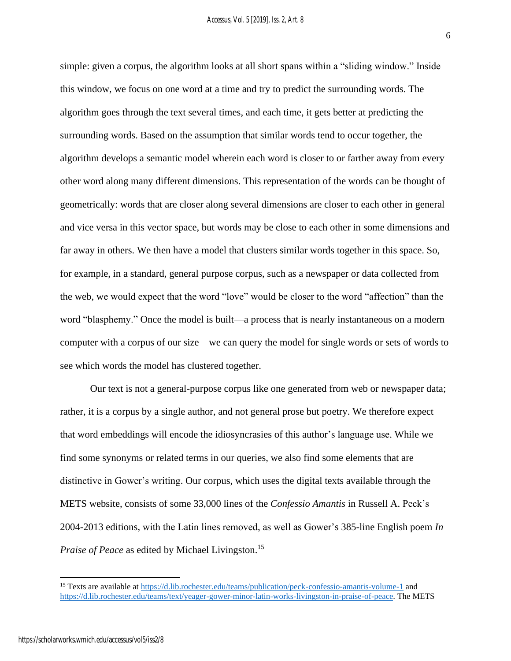6

simple: given a corpus, the algorithm looks at all short spans within a "sliding window." Inside this window, we focus on one word at a time and try to predict the surrounding words. The algorithm goes through the text several times, and each time, it gets better at predicting the surrounding words. Based on the assumption that similar words tend to occur together, the algorithm develops a semantic model wherein each word is closer to or farther away from every other word along many different dimensions. This representation of the words can be thought of geometrically: words that are closer along several dimensions are closer to each other in general and vice versa in this vector space, but words may be close to each other in some dimensions and far away in others. We then have a model that clusters similar words together in this space. So, for example, in a standard, general purpose corpus, such as a newspaper or data collected from the web, we would expect that the word "love" would be closer to the word "affection" than the word "blasphemy." Once the model is built—a process that is nearly instantaneous on a modern computer with a corpus of our size—we can query the model for single words or sets of words to see which words the model has clustered together.

Our text is not a general-purpose corpus like one generated from web or newspaper data; rather, it is a corpus by a single author, and not general prose but poetry. We therefore expect that word embeddings will encode the idiosyncrasies of this author's language use. While we find some synonyms or related terms in our queries, we also find some elements that are distinctive in Gower's writing. Our corpus, which uses the digital texts available through the METS website, consists of some 33,000 lines of the *Confessio Amantis* in Russell A. Peck's 2004-2013 editions, with the Latin lines removed, as well as Gower's 385-line English poem *In Praise of Peace* as edited by Michael Livingston. 15

<sup>&</sup>lt;sup>15</sup> Texts are available a[t https://d.lib.rochester.edu/teams/publication/peck-confessio-amantis-volume-1](https://d.lib.rochester.edu/teams/publication/peck-confessio-amantis-volume-1) and [https://d.lib.rochester.edu/teams/text/yeager-gower-minor-latin-works-livingston-in-praise-of-peace.](https://d.lib.rochester.edu/teams/text/yeager-gower-minor-latin-works-livingston-in-praise-of-peace) The METS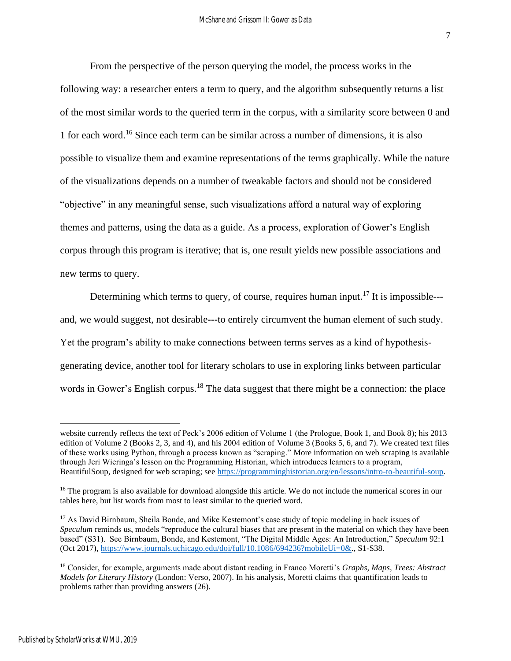From the perspective of the person querying the model, the process works in the following way: a researcher enters a term to query, and the algorithm subsequently returns a list of the most similar words to the queried term in the corpus, with a similarity score between 0 and 1 for each word.<sup>16</sup> Since each term can be similar across a number of dimensions, it is also possible to visualize them and examine representations of the terms graphically. While the nature of the visualizations depends on a number of tweakable factors and should not be considered "objective" in any meaningful sense, such visualizations afford a natural way of exploring themes and patterns, using the data as a guide. As a process, exploration of Gower's English corpus through this program is iterative; that is, one result yields new possible associations and new terms to query.

Determining which terms to query, of course, requires human input.<sup>17</sup> It is impossible--and, we would suggest, not desirable**---**to entirely circumvent the human element of such study. Yet the program's ability to make connections between terms serves as a kind of hypothesisgenerating device, another tool for literary scholars to use in exploring links between particular words in Gower's English corpus.<sup>18</sup> The data suggest that there might be a connection: the place

website currently reflects the text of Peck's 2006 edition of Volume 1 (the Prologue, Book 1, and Book 8); his 2013 edition of Volume 2 (Books 2, 3, and 4), and his 2004 edition of Volume 3 (Books 5, 6, and 7). We created text files of these works using Python, through a process known as "scraping." More information on web scraping is available through Jeri Wieringa's lesson on the Programming Historian, which introduces learners to a program, BeautifulSoup, designed for web scraping; see [https://programminghistorian.org/en/lessons/intro-to-beautiful-soup.](https://programminghistorian.org/en/lessons/intro-to-beautiful-soup)

<sup>&</sup>lt;sup>16</sup> The program is also available for download alongside this article. We do not include the numerical scores in our tables here, but list words from most to least similar to the queried word.

<sup>&</sup>lt;sup>17</sup> As David Birnbaum, Sheila Bonde, and Mike Kestemont's case study of topic modeling in back issues of *Speculum* reminds us, models "reproduce the cultural biases that are present in the material on which they have been based" (S31). See Birnbaum, Bonde, and Kestemont, "The Digital Middle Ages: An Introduction," *Speculum* 92:1 (Oct 2017)[, https://www.journals.uchicago.edu/doi/full/10.1086/694236?mobileUi=0&.](https://www.journals.uchicago.edu/doi/full/10.1086/694236?mobileUi=0&), S1-S38.

<sup>18</sup> Consider, for example, arguments made about distant reading in Franco Moretti's *Graphs, Maps, Trees: Abstract Models for Literary History* (London: Verso, 2007). In his analysis, Moretti claims that quantification leads to problems rather than providing answers (26).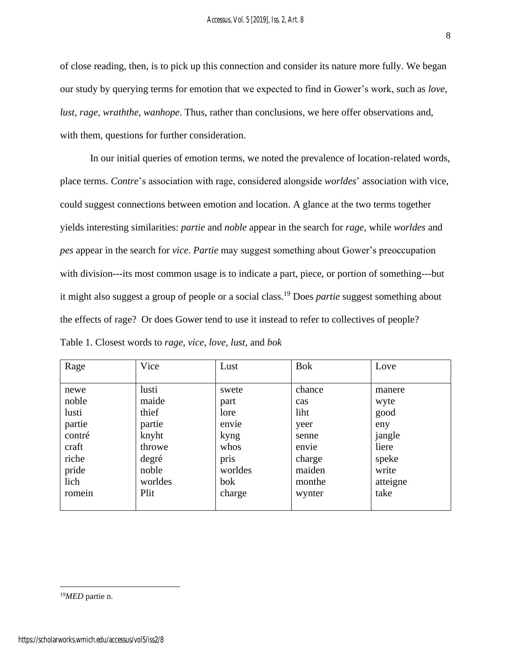of close reading, then, is to pick up this connection and consider its nature more fully. We began our study by querying terms for emotion that we expected to find in Gower's work, such as *love*, *lust*, *rage*, *wraththe*, *wanhope*. Thus, rather than conclusions, we here offer observations and, with them, questions for further consideration.

In our initial queries of emotion terms, we noted the prevalence of location-related words, place terms. *Contre*'s association with rage, considered alongside *worldes*' association with vice, could suggest connections between emotion and location. A glance at the two terms together yields interesting similarities: *partie* and *noble* appear in the search for *rage*, while *worldes* and *pes* appear in the search for *vice*. *Partie* may suggest something about Gower's preoccupation with division---its most common usage is to indicate a part, piece, or portion of something---but it might also suggest a group of people or a social class.<sup>19</sup> Does *partie* suggest something about the effects of rage? Or does Gower tend to use it instead to refer to collectives of people?

| Table 1. Closest words to <i>rage</i> , <i>vice</i> , <i>love</i> , <i>lust</i> , and <i>bok</i> |  |
|--------------------------------------------------------------------------------------------------|--|
|--------------------------------------------------------------------------------------------------|--|

| Rage   | Vice    | Lust    | <b>Bok</b> | Love     |
|--------|---------|---------|------------|----------|
|        |         |         |            |          |
| newe   | lusti   | swete   | chance     | manere   |
| noble  | maide   | part    | cas        | wyte     |
| lusti  | thief   | lore    | liht       | good     |
| partie | partie  | envie   | yeer       | eny      |
| contré | knyht   | kyng    | senne      | jangle   |
| craft  | throwe  | whos    | envie      | liere    |
| riche  | degré   | pris    | charge     | speke    |
| pride  | noble   | worldes | maiden     | write    |
| lich   | worldes | bok     | monthe     | atteigne |
| romein | Plit    | charge  | wynter     | take     |
|        |         |         |            |          |

<sup>19</sup>*MED* partie n.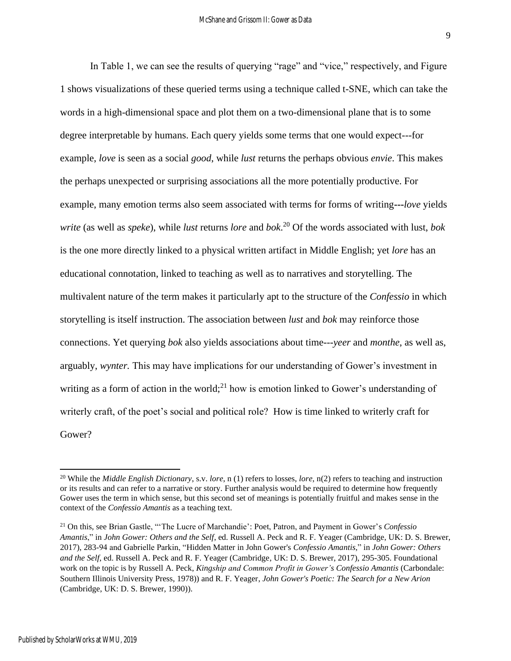In Table 1, we can see the results of querying "rage" and "vice," respectively, and Figure 1 shows visualizations of these queried terms using a technique called t-SNE, which can take the words in a high-dimensional space and plot them on a two-dimensional plane that is to some degree interpretable by humans. Each query yields some terms that one would expect---for example, *love* is seen as a social *good*, while *lust* returns the perhaps obvious *envie*. This makes the perhaps unexpected or surprising associations all the more potentially productive. For example, many emotion terms also seem associated with terms for forms of writing**---***love* yields *write* (as well as *speke*), while *lust* returns *lore* and *bok*. <sup>20</sup> Of the words associated with lust, *bok* is the one more directly linked to a physical written artifact in Middle English; yet *lore* has an educational connotation, linked to teaching as well as to narratives and storytelling. The multivalent nature of the term makes it particularly apt to the structure of the *Confessio* in which storytelling is itself instruction. The association between *lust* and *bok* may reinforce those connections. Yet querying *bok* also yields associations about time---*yeer* and *monthe*, as well as, arguably, *wynter.* This may have implications for our understanding of Gower's investment in writing as a form of action in the world;<sup>21</sup> how is emotion linked to Gower's understanding of writerly craft, of the poet's social and political role? How is time linked to writerly craft for Gower?

<sup>20</sup> While the *Middle English Dictionary*, s.v. *lore*, n (1) refers to losses, *lore*, n(2) refers to teaching and instruction or its results and can refer to a narrative or story. Further analysis would be required to determine how frequently Gower uses the term in which sense, but this second set of meanings is potentially fruitful and makes sense in the context of the *Confessio Amantis* as a teaching text.

<sup>21</sup> On this, see Brian Gastle, "'The Lucre of Marchandie': Poet, Patron, and Payment in Gower's *Confessio Amantis*," in *John Gower: Others and the Self*, ed. Russell A. Peck and R. F. Yeager (Cambridge, UK: D. S. Brewer, 2017), 283-94 and Gabrielle Parkin, "Hidden Matter in John Gower's *Confessio Amantis*," in *John Gower: Others and the Self*, ed. Russell A. Peck and R. F. Yeager (Cambridge, UK: D. S. Brewer, 2017), 295-305. Foundational work on the topic is by Russell A. Peck, *Kingship and Common Profit in Gower's Confessio Amantis* (Carbondale: Southern Illinois University Press, 1978)) and R. F. Yeager, *John Gower's Poetic: The Search for a New Arion*  (Cambridge, UK: D. S. Brewer, 1990)).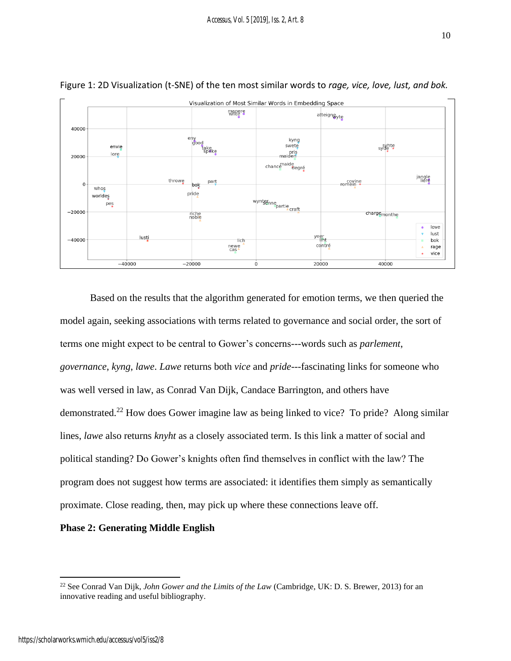



Based on the results that the algorithm generated for emotion terms, we then queried the model again, seeking associations with terms related to governance and social order, the sort of terms one might expect to be central to Gower's concerns---words such as *parlement*, *governance*, *kyng*, *lawe*. *Lawe* returns both *vice* and *pride*---fascinating links for someone who was well versed in law, as Conrad Van Dijk, Candace Barrington, and others have demonstrated.<sup>22</sup> How does Gower imagine law as being linked to vice? To pride? Along similar lines, *lawe* also returns *knyht* as a closely associated term. Is this link a matter of social and political standing? Do Gower's knights often find themselves in conflict with the law? The program does not suggest how terms are associated: it identifies them simply as semantically proximate. Close reading, then, may pick up where these connections leave off.

### **Phase 2: Generating Middle English**

<sup>22</sup> See Conrad Van Dijk, *John Gower and the Limits of the Law* (Cambridge, UK: D. S. Brewer, 2013) for an innovative reading and useful bibliography.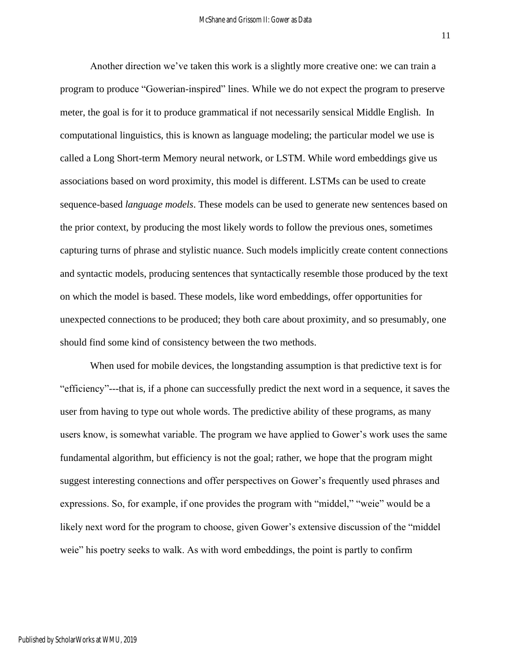Another direction we've taken this work is a slightly more creative one: we can train a program to produce "Gowerian-inspired" lines. While we do not expect the program to preserve meter, the goal is for it to produce grammatical if not necessarily sensical Middle English. In computational linguistics, this is known as language modeling; the particular model we use is called a Long Short-term Memory neural network, or LSTM. While word embeddings give us associations based on word proximity, this model is different. LSTMs can be used to create sequence-based *language models*. These models can be used to generate new sentences based on the prior context, by producing the most likely words to follow the previous ones, sometimes capturing turns of phrase and stylistic nuance. Such models implicitly create content connections and syntactic models, producing sentences that syntactically resemble those produced by the text on which the model is based. These models, like word embeddings, offer opportunities for unexpected connections to be produced; they both care about proximity, and so presumably, one should find some kind of consistency between the two methods.

When used for mobile devices, the longstanding assumption is that predictive text is for "efficiency"---that is, if a phone can successfully predict the next word in a sequence, it saves the user from having to type out whole words. The predictive ability of these programs, as many users know, is somewhat variable. The program we have applied to Gower's work uses the same fundamental algorithm, but efficiency is not the goal; rather, we hope that the program might suggest interesting connections and offer perspectives on Gower's frequently used phrases and expressions. So, for example, if one provides the program with "middel," "weie" would be a likely next word for the program to choose, given Gower's extensive discussion of the "middel weie" his poetry seeks to walk. As with word embeddings, the point is partly to confirm

Published by ScholarWorks at WMU, 2019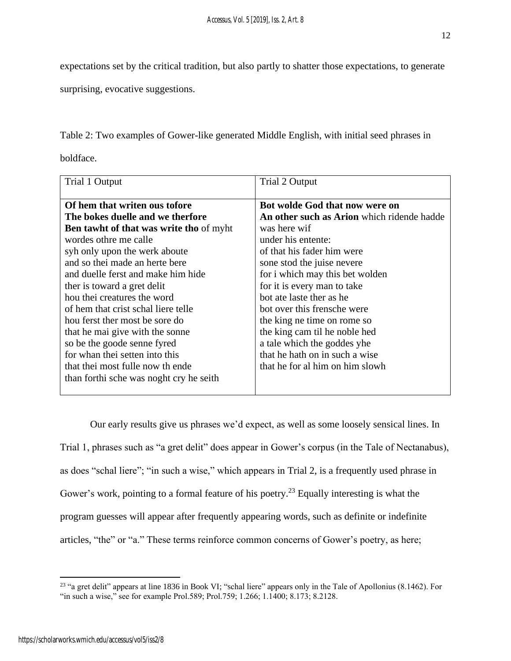expectations set by the critical tradition, but also partly to shatter those expectations, to generate

surprising, evocative suggestions.

Table 2: Two examples of Gower-like generated Middle English, with initial seed phrases in

boldface.

| Trial 1 Output                                 | Trial 2 Output                             |
|------------------------------------------------|--------------------------------------------|
| Of hem that writen ous tofore                  | Bot wolde God that now were on             |
| The bokes duelle and we therfore               | An other such as Arion which ridende hadde |
| <b>Ben tawht of that was write tho of myht</b> | was here wif                               |
| wordes othre me calle                          | under his entente:                         |
| syh only upon the werk aboute                  | of that his fader him were                 |
| and so thei made an herte bere                 | sone stod the juise nevere                 |
| and duelle ferst and make him hide             | for i which may this bet wolden            |
| ther is toward a gret delit                    | for it is every man to take                |
| hou thei creatures the word                    | bot ate laste ther as he                   |
| of hem that crist schal liere telle            | bot over this frensche were                |
| hou ferst ther most be sore do                 | the king ne time on rome so                |
| that he mai give with the sonne                | the king cam til he noble hed              |
| so be the goode senne fyred                    | a tale which the goddes yhe                |
| for whan thei setten into this                 | that he hath on in such a wise             |
| that thei most fulle now th ende               | that he for al him on him slowh            |
| than forthi sche was noght cry he seith        |                                            |
|                                                |                                            |

Our early results give us phrases we'd expect, as well as some loosely sensical lines. In Trial 1, phrases such as "a gret delit" does appear in Gower's corpus (in the Tale of Nectanabus), as does "schal liere"; "in such a wise," which appears in Trial 2, is a frequently used phrase in Gower's work, pointing to a formal feature of his poetry.<sup>23</sup> Equally interesting is what the program guesses will appear after frequently appearing words, such as definite or indefinite articles, "the" or "a." These terms reinforce common concerns of Gower's poetry, as here;

<sup>&</sup>lt;sup>23</sup> "a gret delit" appears at line 1836 in Book VI; "schal liere" appears only in the Tale of Apollonius (8.1462). For "in such a wise," see for example Prol.589; Prol.759; 1.266; 1.1400; 8.173; 8.2128.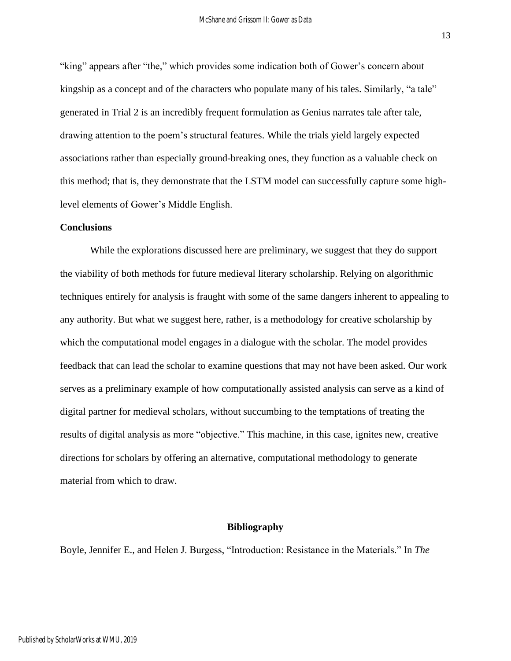"king" appears after "the," which provides some indication both of Gower's concern about kingship as a concept and of the characters who populate many of his tales. Similarly, "a tale" generated in Trial 2 is an incredibly frequent formulation as Genius narrates tale after tale, drawing attention to the poem's structural features. While the trials yield largely expected associations rather than especially ground-breaking ones, they function as a valuable check on this method; that is, they demonstrate that the LSTM model can successfully capture some highlevel elements of Gower's Middle English.

#### **Conclusions**

While the explorations discussed here are preliminary, we suggest that they do support the viability of both methods for future medieval literary scholarship. Relying on algorithmic techniques entirely for analysis is fraught with some of the same dangers inherent to appealing to any authority. But what we suggest here, rather, is a methodology for creative scholarship by which the computational model engages in a dialogue with the scholar. The model provides feedback that can lead the scholar to examine questions that may not have been asked. Our work serves as a preliminary example of how computationally assisted analysis can serve as a kind of digital partner for medieval scholars, without succumbing to the temptations of treating the results of digital analysis as more "objective." This machine, in this case, ignites new, creative directions for scholars by offering an alternative, computational methodology to generate material from which to draw.

#### **Bibliography**

Boyle, Jennifer E., and Helen J. Burgess, "Introduction: Resistance in the Materials." In *The*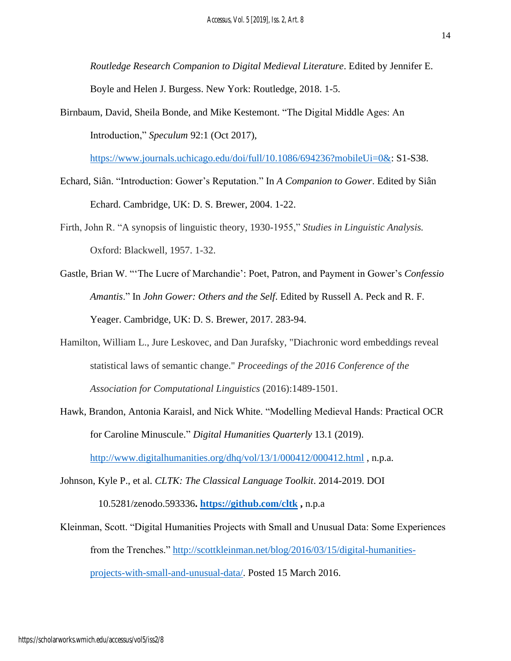*Routledge Research Companion to Digital Medieval Literature*. Edited by Jennifer E. Boyle and Helen J. Burgess. New York: Routledge, 2018. 1-5.

Birnbaum, David, Sheila Bonde, and Mike Kestemont. "The Digital Middle Ages: An Introduction," *Speculum* 92:1 (Oct 2017),

[https://www.journals.uchicago.edu/doi/full/10.1086/694236?mobileUi=0&:](https://www.journals.uchicago.edu/doi/full/10.1086/694236?mobileUi=0&) S1-S38.

- Echard, Siân. "Introduction: Gower's Reputation." In *A Companion to Gower*. Edited by Siân Echard. Cambridge, UK: D. S. Brewer, 2004. 1-22.
- Firth, John R. "A synopsis of linguistic theory, 1930-1955," *Studies in Linguistic Analysis.* Oxford: Blackwell, 1957. 1-32.
- Gastle, Brian W. "'The Lucre of Marchandie': Poet, Patron, and Payment in Gower's *Confessio Amantis*." In *John Gower: Others and the Self*. Edited by Russell A. Peck and R. F. Yeager. Cambridge, UK: D. S. Brewer, 2017. 283-94.
- Hamilton, William L., Jure Leskovec, and Dan Jurafsky, "Diachronic word embeddings reveal statistical laws of semantic change." *Proceedings of the 2016 Conference of the Association for Computational Linguistics* (2016):1489-1501.
- Hawk, Brandon, Antonia Karaisl, and Nick White. "Modelling Medieval Hands: Practical OCR for Caroline Minuscule." *Digital Humanities Quarterly* 13.1 (2019). <http://www.digitalhumanities.org/dhq/vol/13/1/000412/000412.html> , n.p.a.
- Johnson, Kyle P., et al. *CLTK: The Classical Language Toolkit*. 2014-2019. DOI 10.5281/zenodo.593336**.<https://github.com/cltk> ,** n.p.a
- Kleinman, Scott. "Digital Humanities Projects with Small and Unusual Data: Some Experiences from the Trenches." [http://scottkleinman.net/blog/2016/03/15/digital-humanities](http://scottkleinman.net/blog/2016/03/15/digital-humanities-projects-with-small-and-unusual-data/)[projects-with-small-and-unusual-data/.](http://scottkleinman.net/blog/2016/03/15/digital-humanities-projects-with-small-and-unusual-data/) Posted 15 March 2016.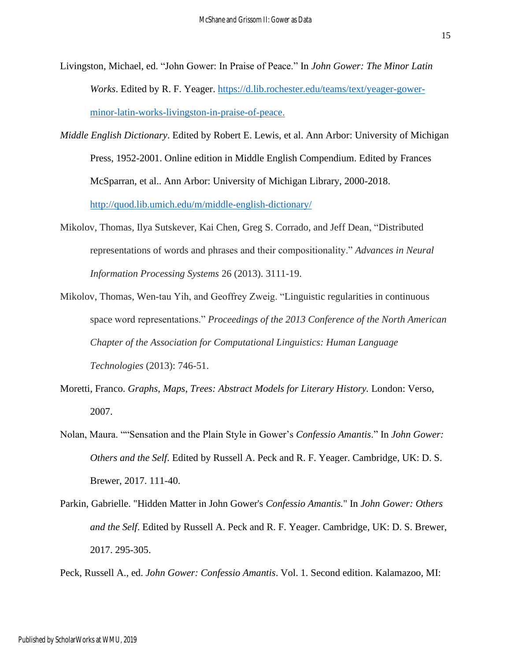- Livingston, Michael, ed. "John Gower: In Praise of Peace." In *John Gower: The Minor Latin Works*. Edited by R. F. Yeager. [https://d.lib.rochester.edu/teams/text/yeager-gower](https://d.lib.rochester.edu/teams/text/yeager-gower-minor-latin-works-livingston-in-praise-of-peace)[minor-latin-works-livingston-in-praise-of-peace.](https://d.lib.rochester.edu/teams/text/yeager-gower-minor-latin-works-livingston-in-praise-of-peace)
- *Middle English Dictionary*. Edited by Robert E. Lewis, et al. Ann Arbor: University of Michigan Press, 1952-2001. Online edition in Middle English Compendium. Edited by Frances McSparran, et al.. Ann Arbor: University of Michigan Library, 2000-2018. <http://quod.lib.umich.edu/m/middle-english-dictionary/>
- Mikolov, Thomas, Ilya Sutskever, Kai Chen, Greg S. Corrado, and Jeff Dean, "Distributed representations of words and phrases and their compositionality." *Advances in Neural Information Processing Systems* 26 (2013). 3111-19.
- Mikolov, Thomas, Wen-tau Yih, and Geoffrey Zweig. "Linguistic regularities in continuous space word representations." *Proceedings of the 2013 Conference of the North American Chapter of the Association for Computational Linguistics: Human Language Technologies* (2013): 746-51.
- Moretti, Franco. *Graphs*, *Maps*, *Trees: Abstract Models for Literary History.* London: Verso, 2007.
- Nolan, Maura. ""Sensation and the Plain Style in Gower's *Confessio Amantis*." In *John Gower: Others and the Self*. Edited by Russell A. Peck and R. F. Yeager. Cambridge, UK: D. S. Brewer, 2017. 111-40.
- Parkin, Gabrielle. "Hidden Matter in John Gower's *Confessio Amantis.*" In *John Gower: Others and the Self*. Edited by Russell A. Peck and R. F. Yeager. Cambridge, UK: D. S. Brewer, 2017. 295-305.

Peck, Russell A., ed. *John Gower: Confessio Amantis*. Vol. 1. Second edition. Kalamazoo, MI: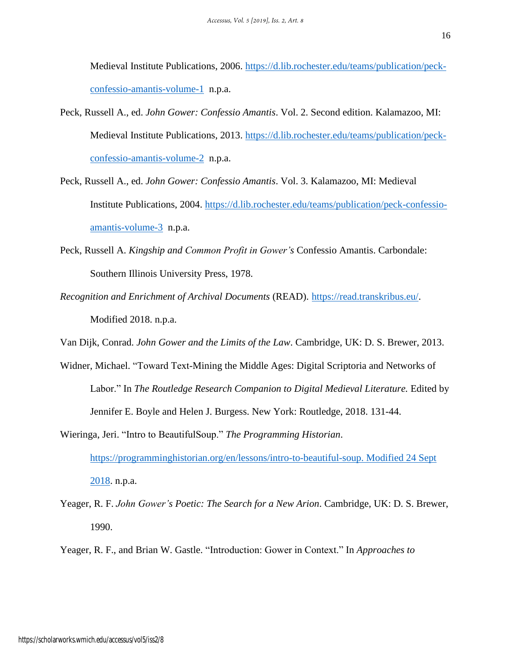Medieval Institute Publications, 2006. [https://d.lib.rochester.edu/teams/publication/peck](https://d.lib.rochester.edu/teams/publication/peck-confessio-amantis-volume-1)[confessio-amantis-volume-1](https://d.lib.rochester.edu/teams/publication/peck-confessio-amantis-volume-1) n.p.a.

- Peck, Russell A., ed. *John Gower: Confessio Amantis*. Vol. 2. Second edition. Kalamazoo, MI: Medieval Institute Publications, 2013. [https://d.lib.rochester.edu/teams/publication/peck](https://d.lib.rochester.edu/teams/publication/peck-confessio-amantis-volume-)[confessio-amantis-volume-2](https://d.lib.rochester.edu/teams/publication/peck-confessio-amantis-volume-) n.p.a.
- Peck, Russell A., ed. *John Gower: Confessio Amantis*. Vol. 3. Kalamazoo, MI: Medieval Institute Publications, 2004. [https://d.lib.rochester.edu/teams/publication/peck-confessio](https://d.lib.rochester.edu/teams/publication/peck-confessio-amantis-volume-3)[amantis-volume-3](https://d.lib.rochester.edu/teams/publication/peck-confessio-amantis-volume-3) n.p.a.
- Peck, Russell A. *Kingship and Common Profit in Gower's* Confessio Amantis. Carbondale: Southern Illinois University Press, 1978.
- *Recognition and Enrichment of Archival Documents* (READ). [https://read.transkribus.eu/.](https://read.transkribus.eu/) Modified 2018. n.p.a.
- Van Dijk, Conrad. *John Gower and the Limits of the Law*. Cambridge, UK: D. S. Brewer, 2013.
- Widner, Michael. "Toward Text-Mining the Middle Ages: Digital Scriptoria and Networks of Labor." In *The Routledge Research Companion to Digital Medieval Literature.* Edited by Jennifer E. Boyle and Helen J. Burgess. New York: Routledge, 2018. 131-44.
- Wieringa, Jeri. "Intro to BeautifulSoup." *The Programming Historian*. [https://programminghistorian.org/en/lessons/intro-to-beautiful-soup. Modified 24 Sept](https://programminghistorian.org/en/lessons/intro-to-beautiful-soup.%20Modified%2024%20Sept%202018)  [2018.](https://programminghistorian.org/en/lessons/intro-to-beautiful-soup.%20Modified%2024%20Sept%202018) n.p.a.
- Yeager, R. F. *John Gower's Poetic: The Search for a New Arion*. Cambridge, UK: D. S. Brewer, 1990.
- Yeager, R. F., and Brian W. Gastle. "Introduction: Gower in Context." In *Approaches to*